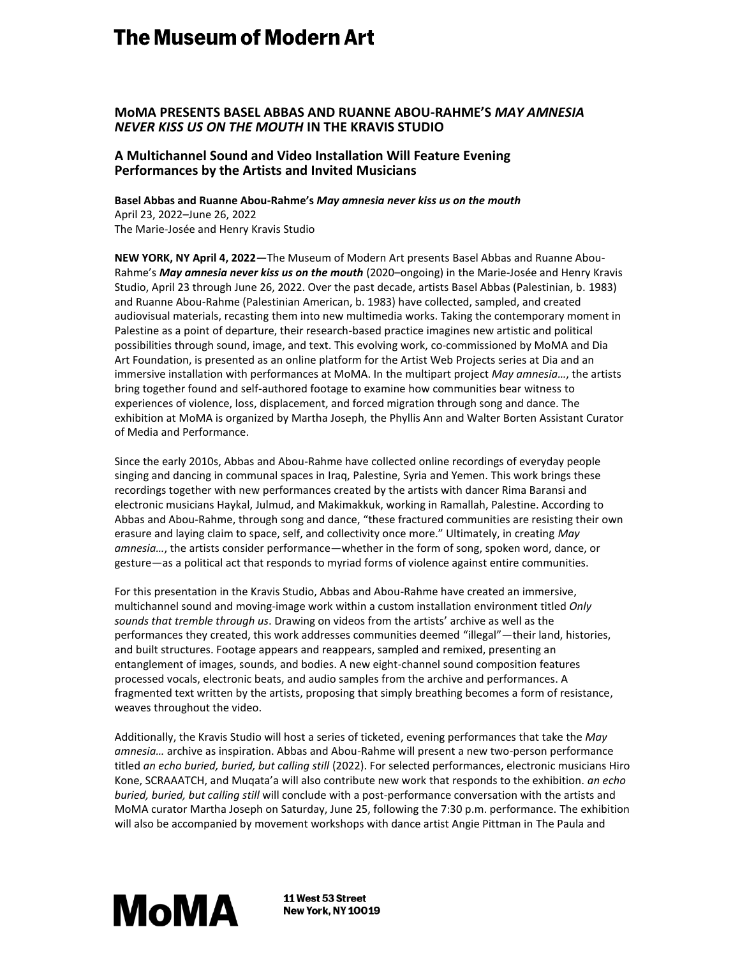# **The Museum of Modern Art**

## **MoMA PRESENTS BASEL ABBAS AND RUANNE ABOU-RAHME'S** *MAY AMNESIA NEVER KISS US ON THE MOUTH* **IN THE KRAVIS STUDIO**

## **A Multichannel Sound and Video Installation Will Feature Evening Performances by the Artists and Invited Musicians**

**Basel Abbas and Ruanne Abou-Rahme's** *May amnesia never kiss us on the mouth* April 23, 2022–June 26, 2022 The Marie-Josée and Henry Kravis Studio

**NEW YORK, NY April 4, 2022***—*The Museum of Modern Art presents Basel Abbas and Ruanne Abou-Rahme's *May amnesia never kiss us on the mouth* (2020–ongoing) in the Marie-Josée and Henry Kravis Studio, April 23 through June 26, 2022. Over the past decade, artists Basel Abbas (Palestinian, b. 1983) and Ruanne Abou-Rahme (Palestinian American, b. 1983) have collected, sampled, and created audiovisual materials, recasting them into new multimedia works. Taking the contemporary moment in Palestine as a point of departure, their research-based practice imagines new artistic and political possibilities through sound, image, and text. This evolving work, co-commissioned by MoMA and Dia Art Foundation, is presented as an online platform for the Artist Web Projects series at Dia and an immersive installation with performances at MoMA. In the multipart project *May amnesia…*, the artists bring together found and self-authored footage to examine how communities bear witness to experiences of violence, loss, displacement, and forced migration through song and dance. The exhibition at MoMA is organized by Martha Joseph, the Phyllis Ann and Walter Borten Assistant Curator of Media and Performance.

Since the early 2010s, Abbas and Abou-Rahme have collected online recordings of everyday people singing and dancing in communal spaces in Iraq, Palestine, Syria and Yemen. This work brings these recordings together with new performances created by the artists with dancer Rima Baransi and electronic musicians Haykal, Julmud, and Makimakkuk, working in Ramallah, Palestine. According to Abbas and Abou-Rahme, through song and dance, "these fractured communities are resisting their own erasure and laying claim to space, self, and collectivity once more." Ultimately, in creating *May amnesia…*, the artists consider performance—whether in the form of song, spoken word, dance, or gesture—as a political act that responds to myriad forms of violence against entire communities.

For this presentation in the Kravis Studio, Abbas and Abou-Rahme have created an immersive, multichannel sound and moving-image work within a custom installation environment titled *Only sounds that tremble through us*. Drawing on videos from the artists' archive as well as the performances they created, this work addresses communities deemed "illegal"—their land, histories, and built structures. Footage appears and reappears, sampled and remixed, presenting an entanglement of images, sounds, and bodies. A new eight-channel sound composition features processed vocals, electronic beats, and audio samples from the archive and performances. A fragmented text written by the artists, proposing that simply breathing becomes a form of resistance, weaves throughout the video.

Additionally, the Kravis Studio will host a series of ticketed, evening performances that take the *May amnesia…* archive as inspiration. Abbas and Abou-Rahme will present a new two-person performance titled *an echo buried, buried, but calling still* (2022). For selected performances, electronic musicians Hiro Kone, SCRAAATCH, and Muqata'a will also contribute new work that responds to the exhibition. *an echo buried, buried, but calling still* will conclude with a post-performance conversation with the artists and MoMA curator Martha Joseph on Saturday, June 25, following the 7:30 p.m. performance. The exhibition will also be accompanied by movement workshops with dance artist Angie Pittman in The Paula and



11 West 53 Street **New York, NY 10019**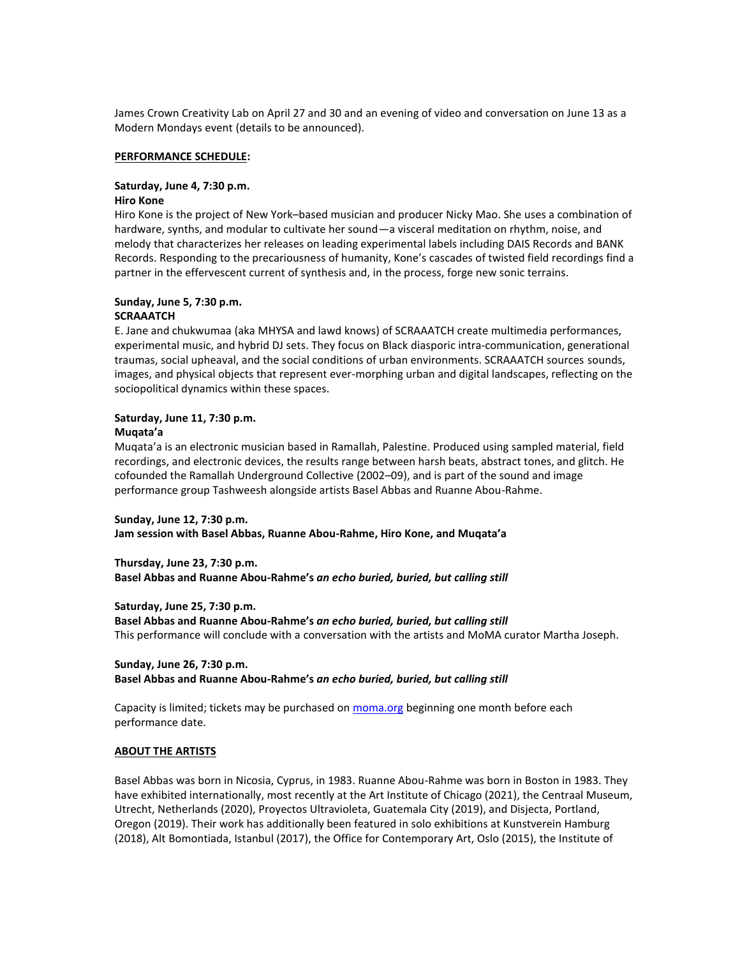James Crown Creativity Lab on April 27 and 30 and an evening of video and conversation on June 13 as a Modern Mondays event (details to be announced).

#### **PERFORMANCE SCHEDULE:**

## **Saturday, June 4, 7:30 p.m.**

## **Hiro Kone**

Hiro Kone is the project of New York–based musician and producer Nicky Mao. She uses a combination of hardware, synths, and modular to cultivate her sound—a visceral meditation on rhythm, noise, and melody that characterizes her releases on leading experimental labels including DAIS Records and BANK Records. Responding to the precariousness of humanity, Kone's cascades of twisted field recordings find a partner in the effervescent current of synthesis and, in the process, forge new sonic terrains.

## **Sunday, June 5, 7:30 p.m.**

## **SCRAAATCH**

E. Jane and chukwumaa (aka MHYSA and lawd knows) of SCRAAATCH create multimedia performances, experimental music, and hybrid DJ sets. They focus on Black diasporic intra-communication, generational traumas, social upheaval, and the social conditions of urban environments. SCRAAATCH sources sounds, images, and physical objects that represent ever-morphing urban and digital landscapes, reflecting on the sociopolitical dynamics within these spaces.

## **Saturday, June 11, 7:30 p.m.**

## **Muqata'a**

Muqata'a is an electronic musician based in Ramallah, Palestine. Produced using sampled material, field recordings, and electronic devices, the results range between harsh beats, abstract tones, and glitch. He cofounded the Ramallah Underground Collective (2002–09), and is part of the sound and image performance group Tashweesh alongside artists Basel Abbas and Ruanne Abou-Rahme.

**Sunday, June 12, 7:30 p.m. Jam session with Basel Abbas, Ruanne Abou-Rahme, Hiro Kone, and Muqata'a**

**Thursday, June 23, 7:30 p.m. Basel Abbas and Ruanne Abou-Rahme's** *an echo buried, buried, but calling still*

**Saturday, June 25, 7:30 p.m.**

**Basel Abbas and Ruanne Abou-Rahme's** *an echo buried, buried, but calling still* This performance will conclude with a conversation with the artists and MoMA curator Martha Joseph.

## **Sunday, June 26, 7:30 p.m. Basel Abbas and Ruanne Abou-Rahme's** *an echo buried, buried, but calling still*

Capacity is limited; tickets may be purchased on [moma.org](https://www.moma.org/calendar/programs/214) beginning one month before each performance date.

## **ABOUT THE ARTISTS**

Basel Abbas was born in Nicosia, Cyprus, in 1983. Ruanne Abou-Rahme was born in Boston in 1983. They have exhibited internationally, most recently at the Art Institute of Chicago (2021), the Centraal Museum, Utrecht, Netherlands (2020), Proyectos Ultravioleta, Guatemala City (2019), and Disjecta, Portland, Oregon (2019). Their work has additionally been featured in solo exhibitions at Kunstverein Hamburg (2018), Alt Bomontiada, Istanbul (2017), the Office for Contemporary Art, Oslo (2015), the Institute of